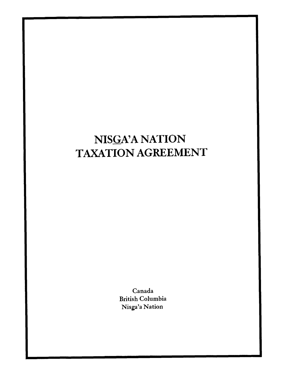# NISGA'A NATION TAXATION AGREEMENT

Canada British Columbia Nisga'a Nation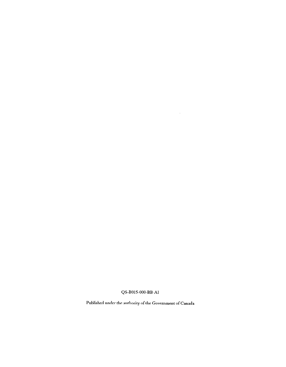QS-B015-000-BB-Al

 $\sim 10^{-10}$ 

Published under the authority of the Government of Canada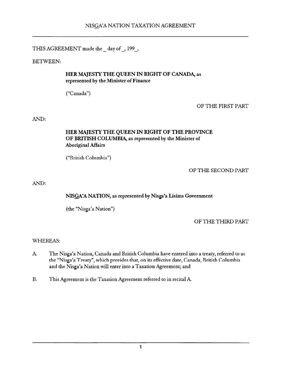THIS AGREEMENT made the \_ day of-, 199-,

BETWEEN:

## HER MAJESTY THE QUEEN IN RIGHT OF CANADA, as represented by the Minister of Finance

("Canada")

OF THE FIRST PART

AND:

## HER MAJESTY THE QUEEN IN RIGHT OF THE PROVINCE OF BRITISH COLUMBIA, as represented by the Minister of Aboriginal Affairs

("British Columbia")

OF THE SECOND PART

AND:

# NISGA'A NATION, as represented by Nisga'a Lisims Government

(the "Nisga'a Nation")

OF THE THIRD PART

# WHEREAS:

- A. The Nisga'a Nation, Canada and British Columbia have entered into a treaty, referred to as the "Nisga'a Treaty", which provides that, on its effective date, Canada, British Columbia and the Nisga'a Nation will enter into a Taxation Agreement; and
- B. This Agreement is the Taxation Agreement referred to in recital A.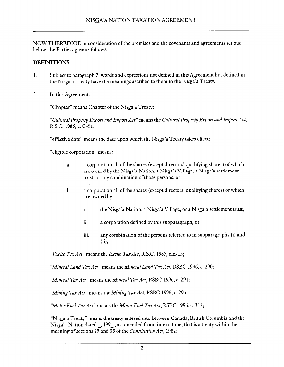NOW THEREFORE in consideration of the premises and the covenants and agreements set out below, the Parties agree as follows:

# DEFINITIONS

- 1. Subject to paragraph 7, words and expressions not defined in this Agreement but defined in the Nisga'a Treaty have the meanings ascribed to them in the Nisga'a Treaty.
- 2. In this Agreement:

"Chapter" means Chapter of the Nisga'a Treaty;

"Cultural Property Export and Import Act" means the Cultural Property Export and Import Act, R.S.C. 1985, c. c-51;

"effective date" means the date upon which the Nisga'a Treaty takes effect;

"eligible corporation" means:

- a. a corporation all of the shares (except directors' qualifying shares) of which are owned by the Nisga'a Nation, a Nisga'a Village, a Nisga'a settlement trust, or any combination of those persons; or
- b. a corporation all of the shares (except directors' qualifying shares) of which are owned by;
	- i. the Nisga'a Nation, a Nisga'a Village, or a Nisga'a settlement trust,
	- ii. a corporation defined by this subparagraph, or
	- iii. any combination of the persons referred to in subparagraphs (i) and  $(ii):$

"Excise Tax Act" means the Excise Tax Act, R.S.C. 1985, c.E-15;

"Mineral Land Tax Act" means the Mineral Land Tax Act, RSBC 1996, c. 290;

"Mineral Tax Act" means the Mineral Tax Act, RSBC 1996, c. 291;

"Mining Tax  $Act$ " means the Mining Tax  $Act$ , RSBC 1996, c. 295;

"Motor Fuel Tax Act" means the Motor Fuel Tax Act, RSBC 1996, c. 317;

"Nisga'a Treaty" means the treaty entered into between Canada, British Columbia and the Nisga'a Nation dated, 199, as amended from time to time, that is a treaty within the meaning of sections 25 and 35 of the Constitution Act, 1982;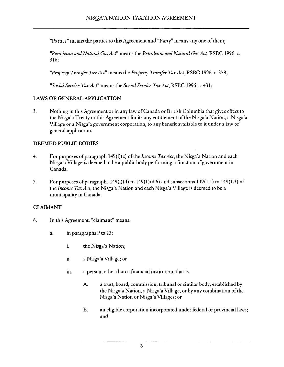"Parties" means the parties to this Agreement and "Party" means any one of them;

"Petroleum and Natural Gas Act" means the Petroleum and Natural Gas Act, RSBC 1996, c. 316;

"Property Transfer Tax Act" means the Property Transfer Tax Act, RSBC 1996, c. 378;

"Social Service Tax Act" means the Social Service Tax Act, RSBC 1996, c. 431;

#### LAWS OF GENERAL APPLICATION

3. Nothing in this Agreement or in any law of Canada or British Columbia that gives effect to the Nisga'a Treaty or this Agreement limits any entitlement of the Nisga'a Nation, a Nisga'a Village or a Nisga'a government corporation, to any benefit available to it under a law of general application.

#### DEEMED PUBLIC BODIES

- 4. For purposes of paragraph  $149(1)(c)$  of the *Income Tax Act*, the Nisga'a Nation and each Nisga'a Village is deemed to be a public body performing a function of government in Canada.
- 5. For purposes of paragraphs  $149(1)(d)$  to  $149(1)(d.6)$  and subsections  $149(1.1)$  to  $149(1.3)$  of the Income Tax Act, the Nisga'a Nation and each Nisga'a Village is deemed to be a municipality in Canada.

## **CLAIMANT**

- 6. In this Agreement, "claimant" means:
	- a. in paragraphs 9 to 13:
		- i. the Nisga'a Nation;
		- ii. a Nisga'a Village; or
		- iii. a person, other than a financial institution, that is
			- A. a trust, board, commission, tribunal or similar body, established by the Nisga'a Nation, a Nisga'a Village, or by any combination of the Nisga'a Nation or Nisga'a Villages; or
			- B. an eligible corporation incorporated under federal or provincial laws; and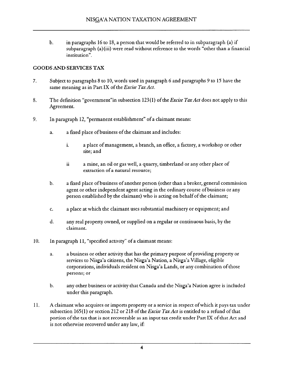b. in paragraphs 16 to 18, a person that would be referred to in subparagraph (a) if subparagraph (a)(iii) were read without reference to the words "other than a financial institution",

## GOODS AND SERVICES TAX

- 7. Subject to paragraphs 8 to 10, words used in paragraph 6 and paragraphs 9 to 15 have the same meaning as in Part IX of the Excise Tax Act.
- 8. The definition "government" in subsection 123(1) of the *Excise Tax Act* does not apply to this Agreement.
- 9. In paragraph 12, "permanent establishment" of a claimant means:
	- a. a fixed place of business of the claimant and includes:
		- i. a place of management, a branch, an office, a factory, a workshop or other site; and
		- ii a mine, an oil or gas well, a quarry, timberland or any other place of extraction of a natural resource;
	- b. a fixed place of business of another person (other than a broker, general commission agent or other independent agent acting in the ordinary course of business or any person established by the claimant) who is acting on behalf of the claimant;
	- C. a place at which the claimant uses substantial machinery or equipment; and
	- d. any real property owned, or supplied on a regular or continuous basis, by the claimant.
- 10. In paragraph 11, "specified activity" of a claimant means:
	- a. a business or other activity that has the primary purpose of providing property or services to Nisga'a citizens, the Nisga'a Nation, a Nisga'a Village, eligible corporations, individuals resident on Nisga'a Lands, or any combination of those persons; or
	- b. any other business or activity that Canada and the Nisga'a Nation agree is included under this paragraph.
- II. A claimant who acquires or imports property or a service in respect ofwhich it pays tax under subsection 165(1) or section 212 or 218 of the *Excise Tax Act* is entitled to a refund of that portion of the tax that is not recoverable as an input tax credit under Part IX of that Act and is not otherwise recovered under any law, if: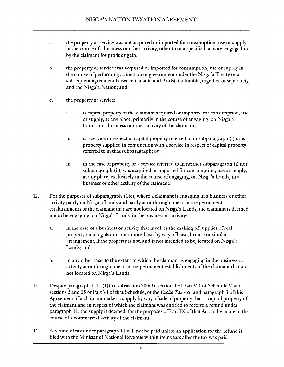- a. the property or service was not acquired or imported for consumption, use or supply in the course of a business or other activity, other than a specified activity, engaged in by the claimant for profit or gain;
- b. the property or service was acquired or imported for consumption, use or supply in the course of performing a function of government under the Nisga'a Treaty or a subsequent agreement between Canada and British Columbia, together or separately, and the Nisga'a Nation; and
- c. the property or service:
	- i. is capital property of the claimant acquired or imported for consumption, use or supply, at any place, primarily in the course of engaging, on Nisga'a Lands, in a business or other activity of the claimant;
	- ii. is a service in respect of capital property referred to in subparagraph (i) or is property supplied in conjunction with a service in respect of capital property referred to in that subparagraph; or
	- iii. in the case of property or a service referred to in neither subparagraph (i) nor subparagraph (ii), was acquired or imported for consumption, use or supply, at any place, exclusively in the course of engaging, on Nisga'a Lands, in a business or other activity of the claimant.
- 12. For the purposes of subparagraph 11 (c), where a claimant is engaging in a business or other activity partly on Nisga'a Lands and partly at or through one or more permanent establishments of the claimant that are not located on Nisga'a Lands, the claimant is deemed not to be engaging, on Nisga'a Lands, in the business or activity:
	- a. in the case of a business or activity that involves the making of supplies of real property on a regular or continuous basis by way of lease, licence or similar arrangement, if the property is not, and is not intended to be, located on Nisga'a Lands; and
	- b. in any other case, to the extent to which the claimant is engaging in the business or activity at or through one or more permanent establishments of the claimant that are not located on Nisga'a Lands.
- 13. Despite paragraph 141.1(l)(b), subsection 200(3), section 1 of Part V. 1 of Schedule V and sections 2 and 25 of Part VI of that Schedule, of the *Excise Tax Act*, and paragraph 3 of this Agreement, if a claimant makes a supply by way of sale of property that is capital property of the claimant and in respect ofwhich the claimant was entitled to receive a refund under paragraph 11, the supply is deemed, for the purposes of Part IX of that Act, to be made in the course of a commercial activity of the claimant.
- 14. A refund of tax under paragraph 11 will not be paid unless an application for the refund is filed with the Minister of National Revenue within four years after the tax was paid.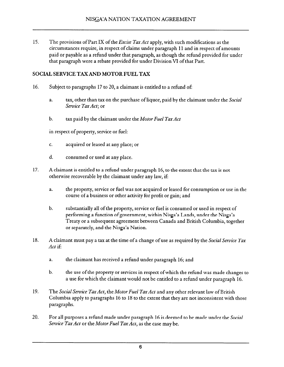15. The provisions of Part IX of the *Excise Tax Act* apply, with such modifications as the circumstances require, in respect of claims under paragraph 11 and in respect of amounts paid or payable as a refund under that paragraph, as though the refund provided for under that paragraph were a rebate provided for under Division VI of that Part.

## SOCIAL SERVICE TAX AND MOTOR FUEL TAX

- 16. Subject to paragraphs 17 to 20, a claimant is entitled to a refund of:
	- a. tax, other than tax on the purchase of liquor, paid by the claimant under the Social Service Tax Act; or
	- b. tax paid by the claimant under the Motor Fuel Tax Act

in respect of property, service or fuel:

- C, acquired or leased at any place; or
- d. consumed or used at any place.
- 17. A claimant is entitled to a refund under paragraph 16, to the extent that the tax is not otherwise recoverable by the claimant under any law, if:
	- a. the property, service or fuel was not acquired or leased for consumption or use in the course of a business or other activity for profit or gain; and
	- b. substantially all of the property, service or fuel is consumed or used in respect of performing a function of government, within Nisga'a Lands, under the Nisga'a Treaty or a subsequent agreement between Canada and British Columbia, together or separately, and the Nisga'a Nation.
- 18. A claimant must pay a tax at the time of a change of use as required by the Social Service Tax Act if:
	- a. the claimant has received a refund under paragraph 16; and
	- b. the use of the property or services in respect of which the refund was made changes to a use for which the claimant would not be entitled to a refund under paragraph 16.
- 19. The Social Service Tax Act, the Motor Fuel Tax Act and any other relevant law of British Columbia apply to paragraphs 16 to 18 to the extent that they are not inconsistent with those paragraphs.
- 20. For all purposes a refund made under paragraph 16 is deemed to be made under the Social Service Tax Act or the Motor Fuel Tax Act, as the case may be.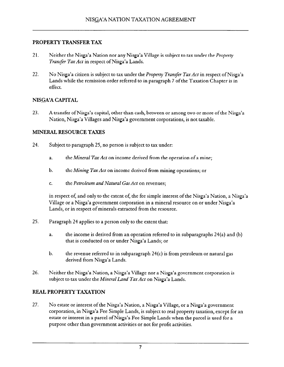#### PROPERTY TRANSFER TAX

- 21. Neither the Nisga'a Nation nor any Nisga'a Village is subject to tax under the *Property* Transfer Tax Act in respect of Nisga'a Lands.
- 22. No Nisga'a citizen is subject to tax under the Property Transfer Tax Act in respect of Nisga'a Lands while the remission order referred to in paragraph 7 of the Taxation Chapter is in effect.

#### NISGA'A CAPITAL

23. A transfer of Nisga'a capital, other than cash, between or among two or more of the Nisga'a Nation, Nisga'a Villages and Nisga'a government corporations, is not taxable.

#### MINERAL RESOURCE TAXES

- 24. Subject to paragraph 25, no person is subject to tax under:
	- a. the *Mineral Tax Act* on income derived from the operation of a mine;
	- b. the Mining Tax Act on income derived from mining operations; or
	- c. the *Petroleum and Natural Gas Act* on revenues;

in respect of, and only to the extent of, the fee simple interest of the Nisga'a Nation, a Nisga'a Village or a Nisga'a government corporation in a mineral resource on or under Nisga'a Lands, or in respect of minerals extracted from the resource.

- 25. Paragraph 24 applies to a person only to the extent that:
	- a. the income is derived from an operation referred to in subparagraphs 24(a) and (b) that is conducted on or under Nisga'a Eands; or
	- b. the revenue referred to in subparagraph 24(c) is from petroleum or natural gas derived from Nisga'a Lands.
- 26. Neither the Nisga'a Nation, a Nisga'a Village nor a Nisga'a government corporation is subject to tax under the Mineral Land Tax Act on Nisga'a Lands.

## REAL PROPERTY TAXATION

27. No estate or interest of the Nisga'a Nation, a Nisga'a Village, or a Nisga'a government corporation, in Nisga'a Pee Simple Lands, is subject to real property taxation, except for an estate or interest in a parcel of Nisga'a Fee Simple Eands when the parcel is used for a purpose other than government activities or not for profit activities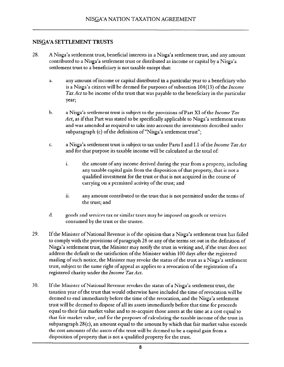## NISGA'A SETTLEMENT TRUSTS

- 28, A Nisga'a settlement trust, beneficial interests in a Nisga'a settlement trust, and any amount contributed to a Nisga'a settlement trust or distributed as income or capital by a Nisga'a settlement trust to a beneficiary is not taxable except that:
	- a. any amount of income or capital distributed in a particular year to a beneficiary who is a Nisga'a citizen will be deemed for purposes of subsection 104(13) of the Income Tax Act to be income of the trust that was payable to the beneficiary in the particular year;
	- b. a Nisga'a settlement trust is subject to the provisions of Part XI of the Income Tax Act, as if that Part was stated to be specifically applicable to Nisga'a settlement trusts and was amended as required to take into account the investments described under subparagraph (c) of the definition of "Nisga'a settlement trust";
	- c. a Nisga'a settlement trust is subject to tax under Parts I and I.1 of the *Income Tax Act* and for that purpose its taxable income will be calculated as the total of:
		- i. the amount of any income derived during the year from a property, including any taxable capital gain from the disposition of that property, that is not a qualified investment for the trust or that is not acquired in the course of carrying on a permitted activity of the trust; and
		- ii. any amount contributed to the trust that is not permitted under the terms of the trust; and
	- d. goods and services tax or similar taxes may be imposed on goods or services consumed by the trust or the trustee.
- 29. If the Minister of National Revenue is of the opinion that a Nisga'a settlement trust has failed to comply with the provisions of paragraph 28 or any of the terms set out in the definition of Nisga'a settlement trust, the Minister may notify the trust in writing and, if the trust does not address the default to the satisfaction of the Minister within 100 days after the registered mailing of such notice, the Minister may revoke the status of the trust as a Nisga'a settlement trust, subject to the same right of appeal as applies to a revocation of the registration of a registered charity under the Income Tax Act.
- 30. If the Minister of National Revenue revokes the status of a Nisga'a settlement trust, the taxation year of the trust that would otherwise have included the time of revocation will be deemed to end immediately before the time of the revocation, and the Nisga'a settlement trust will be deemed to dispose of all its assets immediately before that time for proceeds equal to their fair market value and to re-acquire those assets at the time at a cost equal to that fair market value, and for the purposes of calculating the taxable income of the trust in subparagraph  $28(c)$ , an amount equal to the amount by which that fair market value exceeds the cost amounts of the assets of the trust will be deemed to be a capital gain from a disposition of property that is not a qualified property for the trust.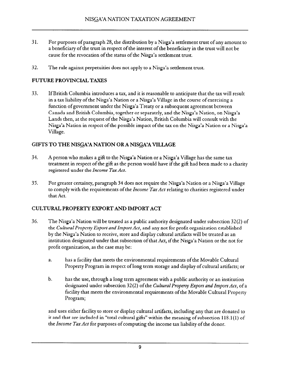- 31. For purposes ofparagraph 28, the distribution by a Nisga'a settlement trust of any amount to a beneficiary of the trust in respect of the interest of the beneficiary in the trust will not be cause for the revocation of the status of the Nisga'a settlement trust.
- 32. The rule against perpetuities does not apply to a Nisga'a settlement trust.

## FUTURE PROVINCIAL TAXES

33. If British Columbia introduces a tax, and it is reasonable to anticipate that the tax will result in a tax liability of the Nisga'a Nation or a Nisga'a Village in the course of exercising a function of government under the Nisga'a Treaty or a subsequent agreement between Canada and British Columbia, together or separately, and the Nisga'a Nation, on Nisga'a Lands then, at the request of the Nisga'a Nation, British Columbia will consult with the Nisga'a Nation in respect of the possible impact of the tax on the Nisga'a Nation or a Nisga'a Village.

## GIFTS TO THE NISGA'A NATION OR A NISGA'A VILLAGE

- 34. A person who makes a gift to the Nisga'a Nation or a Nisga'a Village has the same tax treatment in respect of the gift as the person would have if the gift had been made to a charity registered under the Income Tax Act.
- 35. For greater certainty, paragraph 34 does not require the Nisga'a Nation or a Nisga'a Village to comply with the requirements of the *Income Tax Act* relating to charities registered under that Act,

## CULTURAL PROPERTY EXPORT AND IMPORT ACT

- 36. The Nisga'a Nation will be treated as a public authority designated under subsection 32(2) of the Cultural Property Export and Import Act, and any not for profit organization established by the Nisga'a Nation to receive, store and display cultural artifacts will be treated as an institution designated under that subsection of that Act, if the Nisga'a Nation or the not for profit organization, as the case may be:
	- a. has a facility that meets the environmental requirements of the Movable Cultural Property Program in respect of long term storage and display of cultural artifacts; or
	- b. has the use, through a long term agreement with a public authority or an institution designated under subsection 32(2) of the Cultural Property Export and Import Act, of a facility that meets the environmental requirements of the Movable Cultural Property Program;

and uses either facility to store or display cultural artifacts, including any that are donated to it and that are included in '"total cultural gifts" within the meaning of subsection I 18.1(l) of the *Income Tax Act* for purposes of computing the income tax liability of the donor.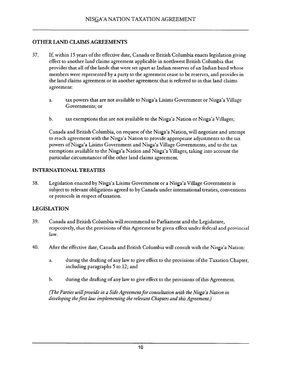## OTHER LAND CLAIMS AGREEMENTS

- 37. If, within 15 years of the effective date, Canada or British Columbia enacts legislation giving effect to another land claims agreement applicable in northwest British Columbia that provides that all of the lands that were set apart as Indian reserves of an Indian band whose members were represented by a party to the agreement cease to be reserves, and provides in the land claims agreement or in another agreement that is referred to in that land claims agreement:
	- a. tax powers that are not available to Nisga'a Lisims Government or Nisga'a Village Governments; or
	- b. tax exemptions that are not available to the Nisga'a Nation or Nisga'a Villages;

Canada and British Columbia, on request of the Nisga'a Nation, will negotiate and attempt to reach agreement with the Nisga'a Nation to provide appropriate adjustments to the tax powers of Nisga'a Lisims Government and Nisga'a Village Governments, and to the tax exemptions available to the Nisga'a Nation and Nisga'a Villages, taking into account the particular circumstances of the other land claims agreement.

#### INTERNATIONAL TREATIES

38. Legislation enacted by Nisga'a Lisims Government or a Nisga'a Village Government is subject to relevant obligations agreed to by Canada under international treaties, conventions or protocols in respect of taxation.

## LEGISLATION

- 39. Canada and British Columbia will recommend to Parliament and the Legislature, respectively, that the provisions of this Agreement be given effect under federal and provincial law.
- 40. After the effective date, Canada and British Columbia will consult with the Nisga'a Nation:
	- a. during the drafting of any law to give effect to the provisions of the Taxation Chapter, including paragraphs 5 to 12; and
	- b. during the drafting of any law to give effect to the provisions of this Agreement.

(The Parties will provide in a Side Agreement for consultation with the Nisga'a Nation in developing the first law implementing the relevant Chapters and this Agreement.)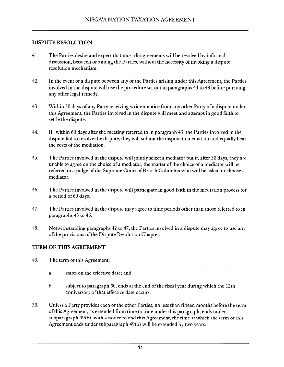#### DISPUTE RESOLUTION

- 41. The Parties desire and expect that most disagreements will be resolved by informal discussion, between or among the Parties, without the necessity of invoking a dispute resolution mechanism.
- 42. In the event of a dispute between any of the Parties arising under this Agreement, the Parties involved in the dispute will use the procedure set out in paragraphs 43 to 48 before pursuing any other legal remedy.
- 43. Within 30 days of any Party receiving written notice from any other Party of a dispute under this Agreement, the Parties involved in the dispute will meet and attempt in good faith to settle the dispute
- 44. If, within 60 days after the meeting referred to in paragraph 43, the Parties involved in the dispute fail to resolve the dispute, they will submit the dispute to mediation and equally bear the costs of the mediation.
- 45. The Parties involved in the dispute will jointly select a mediator but if, after 30 days, they are unable to agree on the choice of a mediator, the matter of the choice of a mediator will be referred to a judge of the Supreme Court of British Columbia who will be asked to choose a mediator.
- 46. The Parties involved in the dispute will participate in good faith in the mediation process for a period of 60 days.
- 47. The Parties involved in the dispute may agree to time periods other than those referred to in paragraphs 43 to 46.
- 48. Notwithstanding paragraphs 42 to 47, the Parties involved in a dispute may agree to use any of the provisions of the Dispute Resolution Chapter.

## TERM OF THIS AGREEMENT

- 49. The term of this Agreement:
	- a. starts on the effective date; and
	- b. subject to paragraph 50, ends at the end of the fiscal year during which the 12th anniversary of that effective date occurs.
- 50. Unless a Party provides each of the other Parties, no less than fifteen months before the term of this Agreement, as extended from time to time under this paragraph, ends under subparagraph 49(b), with a notice to end this Agreement, the time at which the term of this Agreement ends under subparagraph 49(b) will be extended by two years.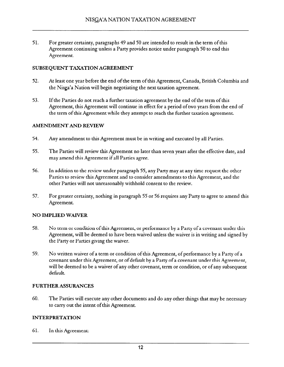51. For greater certainty, paragraphs 49 and 50 are intended to result in the term of this Agreement continuing unless a Party provides notice under paragraph 50 to end this Agreement.

#### SUBSEQUENT TAXATION AGREEMENT

- 52. At least one year before the end of the term of this Agreement, Canada, British Columbia and the Nisga'a Nation will begin negotiating the next taxation agreement.
- 53, If the Parties do not reach a further taxation agreement by the end of the term of this Agreement, this Agreement will continue in effect for a period of two years from the end of the term of this Agreement while they attempt to reach the further taxation agreement.

#### AMENDMENT AND REVIEW

- 54. Any amendment to this Agreement must be in writing and executed by all Parties.
- 55. The Parties will review this Agreement no later than seven years after the effective date, and may amend this Agreement if all Parties agree.
- 56. In addition to the review under paragraph 55, any Party may at any time request the other Parties to review this Agreement and to consider amendments to this Agreement, and the other Parties will not unreasonably withhold consent to the review.
- 57. For greater certainty, nothing in paragraph 55 or 56 requires any Party to agree to amend this Agreement.

#### NO IMPLIED WAIVER

- 58. No term or condition ofthis Agreement, or performance by a Party of a covenant under this Agreement, will be deemed to have been waived unless the waiver is in writing and signed by the Party or Parties giving the waiver.
- 59. No written waiver of a term or condition of this Agreement, of performance by a Party of a covenant under this Agreement, or of default by a Party of a covenant under this Agreement, will be deemed to be a waiver of any other covenant, term or condition, or of any subsequent default.

#### FURTHER ASSURANCES

60. The Parties will execute any other documents and do any other things that may be necessary to carry out the intent of this Agreement.

#### INTERPRETATION

61. In this Agreement: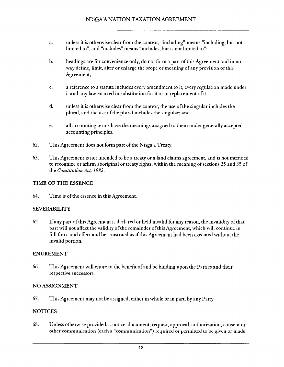- a. unless it is otherwise clear from the context, "'including" means "'including, but not limited to", and "includes" means "includes, but is not limited to";
- b. headings are for convenience only, do not form a part of this Agreement and in no way define, limit, alter or enlarge the scope or meaning of any provision of this Agreement;
- C. a reference to a statute includes every amendment to it, every regulation made under it and any law enacted in substitution for it or in replacement of it;
- d. unless it is otherwise clear from the context, the use of the singular includes the plural, and the use of the plural includes the singular; and
- e. all accounting terms have the meanings assigned to them under generally accepted accounting principles.
- 62. This Agreement does not form part of the Nisga'a Treaty.
- 63. This Agreement is not intended to be a treaty or a land claims agreement, and is not intended to recognize or affirm aboriginal or treaty rights, within the meaning of sections 25 and 35 of the Constitution Act, 1982.

#### TIME OF THE ESSENCE

64. Time is of the essence in this Agreement.

#### SEVERABILITY

65. If any part of this Agreement is declared or held invalid for any reason, the invalidity of that part will not affect the validity of the remainder of this Agreement, which will continue in full force and effect and be construed as if this Agreement had been executed without the invalid portion.

#### ENUREMENT

66. This Agreement will enure to the benefit of and be binding upon the Parties and their respective successors.

#### NO ASSIGNMENT

67. This Agreement may not be assigned, either in whole or in part, by any Party.

#### **NOTICES**

68. Unless otherwise provided, a notice, document, request, approval, authorization, consent or other communication (each a "communication") required or permitted to be given or made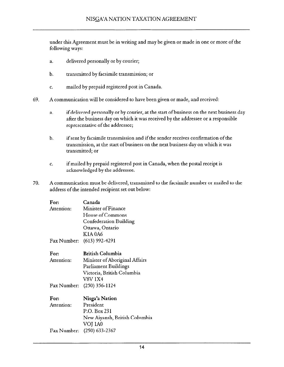under this Agreement must be in writing and may be given or made in one or more of the following ways:

- a. delivered personally or by courier;
- b. transmitted by facsimile transmission; or
- C. mailed by prepaid registered post in Canada.
- 69. A communication will be considered to have been given or made, and received:
	- a. if delivered personally or by courier, at the start of business on the next business day after the business day on which it was received by the addressee or a responsible representative of the addressee;
	- b. if sent by facsimile transmission and if the sender receives confirmation of the transmission, at the start of business on the next business day on which it was transmitted; or
	- C. if mailed by prepaid registered post in Canada, when the postal receipt is acknowledged by the addressee.
- 70. A communication must be delivered, transmitted to the facsimile number or mailed to the address of the intended recipient set out below:

| For:       | Canada                        |
|------------|-------------------------------|
| Attention: | <b>Minister of Finance</b>    |
|            | House of Commons              |
|            | <b>Confederation Building</b> |
|            | Ottawa, Ontario               |
|            | <b>K1A0A6</b>                 |
|            | Fax Number: (613) 992-4291    |
| <b>For</b> | <b>Rritish Columbia</b>       |

Attention: Fax Number: (250) 356-l 124 Minister ofAboriginal Affairs Parliament Buildings Victoria, British Columbia V8V 1x4

| For:       | Nisga'a Nation                |
|------------|-------------------------------|
| Attention: | President                     |
|            | P.O. Box 231                  |
|            | New Aiyansh, British Columbia |
|            | VOJ 1A0                       |
|            | Fax Number: (250) 633-2367    |